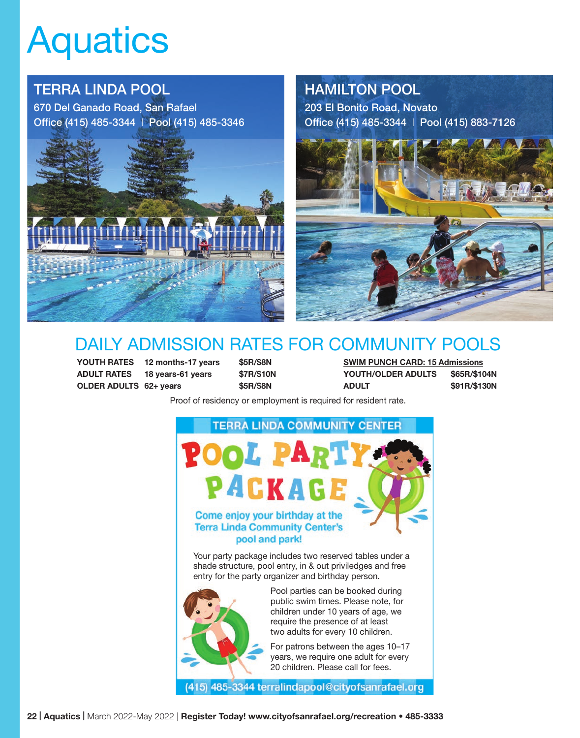# **Aquatics**

# TERRA LINDA POOL

670 Del Ganado Road, San Rafael Office (415) 485-3344 | Pool (415) 485-3346



## HAMILTON POOL

203 El Bonito Road, Novato Office (415) 485-3344 | Pool (415) 883-7126



# DAILY ADMISSION RATES FOR COMMUNITY POOLS

YOUTH RATES 12 months-17 years \$5R/\$8N SWIM PUNCH CARD: 15 Admissions ADULT RATES 18 years-61 years \$7R/\$10N YOUTH/OLDER ADULTS \$65R/\$104N OLDER ADULTS 62+ years \$5R/\$8N ADULT \$91R/\$130N

Proof of residency or employment is required for resident rate.



Your party package includes two reserved tables under a shade structure, pool entry, in & out priviledges and free entry for the party organizer and birthday person.



Pool parties can be booked during public swim times. Please note, for children under 10 years of age, we require the presence of at least two adults for every 10 children.

For patrons between the ages 10–17 years, we require one adult for every 20 children. Please call for fees.

(415) 485-3344 terralindapool@cityofsanrafael.org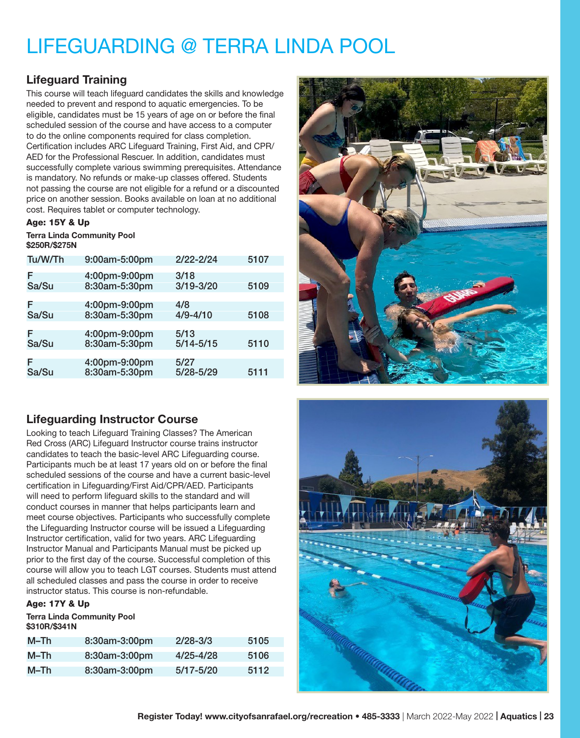# LIFEGUARDING @ TERRA LINDA POOL

### Lifeguard Training

This course will teach lifeguard candidates the skills and knowledge needed to prevent and respond to aquatic emergencies. To be eligible, candidates must be 15 years of age on or before the final scheduled session of the course and have access to a computer to do the online components required for class completion. Certification includes ARC Lifeguard Training, First Aid, and CPR/ AED for the Professional Rescuer. In addition, candidates must successfully complete various swimming prerequisites. Attendance is mandatory. No refunds or make-up classes offered. Students not passing the course are not eligible for a refund or a discounted price on another session. Books available on loan at no additional cost. Requires tablet or computer technology.

#### Age: 15Y & Up

Terra Linda Community Pool \$250R/\$275N

| Tu/W/Th    | 9:00am-5:00pm                  | $2/22 - 2/24$         | 5107 |
|------------|--------------------------------|-----------------------|------|
| F<br>Sa/Su | 4:00pm-9:00pm<br>8:30am-5:30pm | 3/18<br>$3/19 - 3/20$ | 5109 |
|            |                                |                       |      |
| F          | 4:00pm-9:00pm                  | 4/8                   |      |
| Sa/Su      | 8:30am-5:30pm                  | $4/9 - 4/10$          | 5108 |
|            |                                |                       |      |
| F<br>Sa/Su | 4:00pm-9:00pm<br>8:30am-5:30pm | 5/13<br>$5/14 - 5/15$ | 5110 |
|            |                                |                       |      |
| F<br>Sa/Su | 4:00pm-9:00pm<br>8:30am-5:30pm | 5/27<br>5/28-5/29     | 5111 |

### Lifeguarding Instructor Course

Looking to teach Lifeguard Training Classes? The American Red Cross (ARC) Lifeguard Instructor course trains instructor candidates to teach the basic-level ARC Lifeguarding course. Participants much be at least 17 years old on or before the final scheduled sessions of the course and have a current basic-level certification in Lifeguarding/First Aid/CPR/AED. Participants will need to perform lifeguard skills to the standard and will conduct courses in manner that helps participants learn and meet course objectives. Participants who successfully complete the Lifeguarding Instructor course will be issued a Lifeguarding Instructor certification, valid for two years. ARC Lifeguarding Instructor Manual and Participants Manual must be picked up prior to the first day of the course. Successful completion of this course will allow you to teach LGT courses. Students must attend all scheduled classes and pass the course in order to receive instructor status. This course is non-refundable.

#### Age: 17Y & Up

Terra Linda Community Pool \$310R/\$341N

| $M-Th$ | 8:30am-3:00pm | $2/28 - 3/3$  | 5105 |
|--------|---------------|---------------|------|
| M–Th   | 8:30am-3:00pm | $4/25 - 4/28$ | 5106 |
| M–Th   | 8:30am-3:00pm | $5/17 - 5/20$ | 5112 |



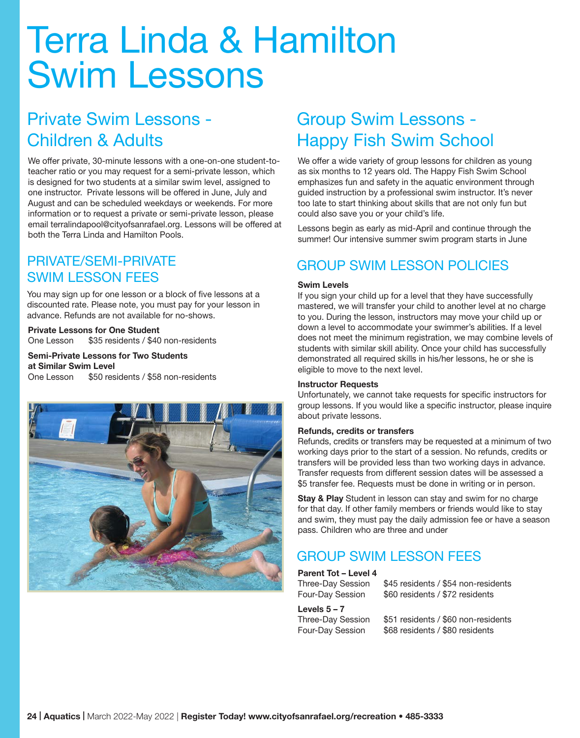# Terra Linda & Hamilton Swim Lessons

# Private Swim Lessons - Children & Adults

We offer private, 30-minute lessons with a one-on-one student-toteacher ratio or you may request for a semi-private lesson, which is designed for two students at a similar swim level, assigned to one instructor. Private lessons will be offered in June, July and August and can be scheduled weekdays or weekends. For more information or to request a private or semi-private lesson, please email terralindapool@cityofsanrafael.org. Lessons will be offered at both the Terra Linda and Hamilton Pools.

## PRIVATE/SEMI-PRIVATE SWIM LESSON FEES

You may sign up for one lesson or a block of five lessons at a discounted rate. Please note, you must pay for your lesson in advance. Refunds are not available for no-shows.

#### Private Lessons for One Student

One Lesson \$35 residents / \$40 non-residents

Semi-Private Lessons for Two Students at Similar Swim Level One Lesson \$50 residents / \$58 non-residents



# Group Swim Lessons - Happy Fish Swim School

We offer a wide variety of group lessons for children as young as six months to 12 years old. The Happy Fish Swim School emphasizes fun and safety in the aquatic environment through guided instruction by a professional swim instructor. It's never too late to start thinking about skills that are not only fun but could also save you or your child's life.

Lessons begin as early as mid-April and continue through the summer! Our intensive summer swim program starts in June

## GROUP SWIM LESSON POLICIES

#### Swim Levels

If you sign your child up for a level that they have successfully mastered, we will transfer your child to another level at no charge to you. During the lesson, instructors may move your child up or down a level to accommodate your swimmer's abilities. If a level does not meet the minimum registration, we may combine levels of students with similar skill ability. Once your child has successfully demonstrated all required skills in his/her lessons, he or she is eligible to move to the next level.

#### Instructor Requests

Unfortunately, we cannot take requests for specific instructors for group lessons. If you would like a specific instructor, please inquire about private lessons.

#### Refunds, credits or transfers

Refunds, credits or transfers may be requested at a minimum of two working days prior to the start of a session. No refunds, credits or transfers will be provided less than two working days in advance. Transfer requests from different session dates will be assessed a \$5 transfer fee. Requests must be done in writing or in person.

Stay & Play Student in lesson can stay and swim for no charge for that day. If other family members or friends would like to stay and swim, they must pay the daily admission fee or have a season pass. Children who are three and under

### GROUP SWIM LESSON FEES

#### Parent Tot – Level 4

Three-Day Session \$45 residents / \$54 non-residents Four-Day Session \$60 residents / \$72 residents

Levels  $5 - 7$ 

Three-Day Session \$51 residents / \$60 non-residents Four-Day Session \$68 residents / \$80 residents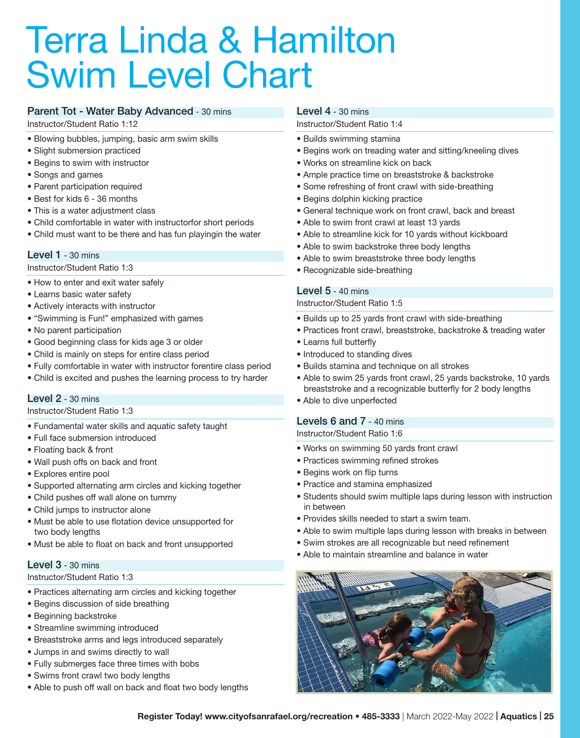# Terra Linda & Hamilton Swim Level Chart

#### Parent Tot - Water Baby Advanced - 30 mins

Instructor/Student Ratio 1:12

- Blowing bubbles, jumping, basic arm swim skills
- Slight submersion practiced
- Begins to swim with instructor
- Songs and games
- Parent participation required
- Best for kids 6 36 months
- This is a water adjustment class
- Child comfortable in water with instructorfor short periods
- Child must want to be there and has fun playingin the water

#### **Level 1** - 30 mins

Instructor/Student Ratio 1:3

- How to enter and exit water safely
- Learns basic water safety
- Actively interacts with instructor
- "Swimming is Fun!" emphasized with games
- No parent participation
- Good beginning class for kids age 3 or older
- Child is mainly on steps for entire class period
- Fully comfortable in water with instructor forentire class period
- Child is excited and pushes the learning process to try harder

#### Level 2 - 30 mins

#### Instructor/Student Ratio 1:3

- Fundamental water skills and aquatic safety taught
- Full face submersion introduced
- Floating back & front
- Wall push offs on back and front
- Explores entire pool
- Supported alternating arm circles and kicking together
- Child pushes off wall alone on tummy
- Child jumps to instructor alone
- Must be able to use flotation device unsupported for two body lengths
- Must be able to float on back and front unsupported

#### **Level 3 - 30 mins**

#### Instructor/Student Ratio 1:3

- Practices alternating arm circles and kicking together
- Begins discussion of side breathing
- Beginning backstroke
- Streamline swimming introduced
- Breaststroke arms and legs introduced separately
- Jumps in and swims directly to wall
- Fully submerges face three times with bobs
- Swims front crawl two body lengths
- Able to push off wall on back and float two body lengths

#### Level 4 - 30 mins

#### Instructor/Student Ratio 1:4

- Builds swimming stamina
- Begins work on treading water and sitting/kneeling dives
- Works on streamline kick on back
- Ample practice time on breaststroke & backstroke
- Some refreshing of front crawl with side-breathing
- Begins dolphin kicking practice
- General technique work on front crawl, back and breast
- Able to swim front crawl at least 13 yards
- Able to streamline kick for 10 yards without kickboard
- Able to swim backstroke three body lengths
- Able to swim breaststroke three body lengths
- Recognizable side-breathing

#### Level 5 - 40 mins

#### Instructor/Student Ratio 1:5

- Builds up to 25 yards front crawl with side-breathing
- Practices front crawl, breaststroke, backstroke & treading water
- Learns full butterfly
- Introduced to standing dives
- Builds stamina and technique on all strokes
- Able to swim 25 yards front crawl, 25 yards backstroke, 10 yards breaststroke and a recognizable butterfly for 2 body lengths
- Able to dive unperfected

#### Levels 6 and 7 - 40 mins

#### Instructor/Student Ratio 1:6

- Works on swimming 50 yards front crawl
- Practices swimming refined strokes
- Begins work on flip turns
- Practice and stamina emphasized
- Students should swim multiple laps during lesson with instruction in between
- Provides skills needed to start a swim team.
- Able to swim multiple laps during lesson with breaks in between
- Swim strokes are all recognizable but need refinement
- Able to maintain streamline and balance in water

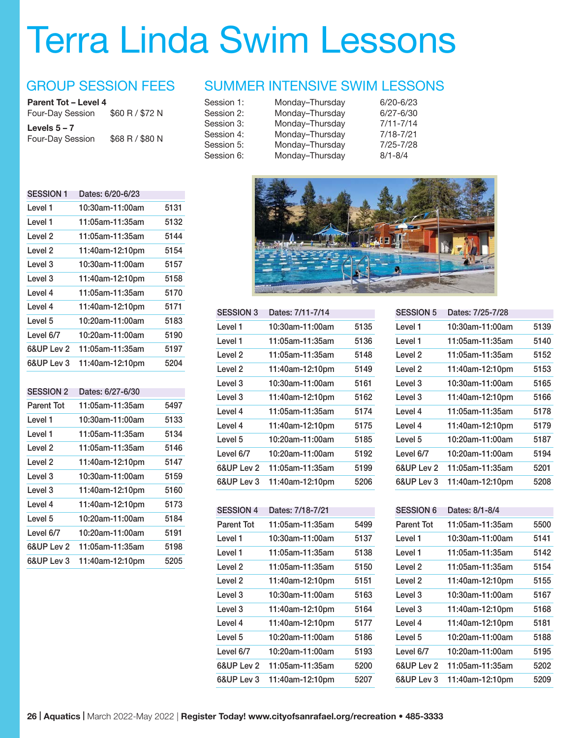# Terra Linda Swim Lessons

### GROUP SESSION FEES

| Parent Tot - Level 4 |                 |
|----------------------|-----------------|
| Four-Day Session     | \$60 R / \$72 N |
| Levels $5 - 7$       |                 |
|                      |                 |
| Four-Day Session     | \$68 R / \$80 N |

| <b>SESSION 1</b>   | Dates: 6/20-6/23 |      |
|--------------------|------------------|------|
| Level 1            | 10:30am-11:00am  | 5131 |
| Level 1            | 11:05am-11:35am  | 5132 |
| Level <sub>2</sub> | 11:05am-11:35am  | 5144 |
| Level <sub>2</sub> | 11:40am-12:10pm  | 5154 |
| Level <sub>3</sub> | 10:30am-11:00am  | 5157 |
| Level <sub>3</sub> | 11:40am-12:10pm  | 5158 |
| Level 4            | 11:05am-11:35am  | 5170 |
| Level 4            | 11:40am-12:10pm  | 5171 |
| Level <sub>5</sub> | 10:20am-11:00am  | 5183 |
| Level 6/7          | 10:20am-11:00am  | 5190 |
| 6&UP Lev 2         | 11:05am-11:35am  | 5197 |
| 6&UP Lev 3         | 11:40am-12:10pm  | 5204 |
|                    |                  |      |
| <b>SESSION 2</b>   | Dates: 6/27-6/30 |      |
| Parent Tot         | 11:05am-11:35am  | 5497 |
| Level 1            | 10:30am-11:00am  | 5133 |
| Level 1            | 11:05am-11:35am  | 5134 |
| Level <sub>2</sub> | 11:05am-11:35am  | 5146 |
| Level <sub>2</sub> | 11:40am-12:10pm  | 5147 |
| Level <sub>3</sub> | 10:30am-11:00am  | 5159 |
| Level <sub>3</sub> | 11:40am-12:10pm  | 5160 |
| Level 4            | 11:40am-12:10pm  | 5173 |
| Level 5            | 10:20am-11:00am  | 5184 |
| Level 6/7          | 10:20am-11:00am  | 5191 |
| 6&UP Lev 2         | 11:05am-11:35am  | 5198 |

6&UP Lev 3 11:40am-12:10pm 5205

### SUMMER INTENSIVE SWIM LESSONS

| Monday-Thursday | $6/20 - 6/23$ |
|-----------------|---------------|
| Monday-Thursday | $6/27 - 6/30$ |
| Monday-Thursday | $7/11 - 7/14$ |
| Monday-Thursday | $7/18 - 7/21$ |
| Monday-Thursday | $7/25 - 7/28$ |
| Monday-Thursday | $8/1 - 8/4$   |
|                 |               |



| Dates: 7/11-7/14 |      |
|------------------|------|
| 10:30am-11:00am  | 5135 |
| 11:05am-11:35am  | 5136 |
| 11:05am-11:35am  | 5148 |
| 11:40am-12:10pm  | 5149 |
| 10:30am-11:00am  | 5161 |
| 11:40am-12:10pm  | 5162 |
| 11:05am-11:35am  | 5174 |
| 11:40am-12:10pm  | 5175 |
| 10:20am-11:00am  | 5185 |
| 10:20am-11:00am  | 5192 |
| 11:05am-11:35am  | 5199 |
| 11:40am-12:10pm  | 5206 |
|                  |      |

| Parent Tot | 11:05am-11:35am    | 5499 |
|------------|--------------------|------|
| Level 1    | 10:30am-11:00am    | 5137 |
| Level 1    | 11:05am-11:35am    | 5138 |
| Level 2    | 11:05am-11:35am    | 5150 |
| Level 2    | 11:40am-12:10pm    | 5151 |
| Level 3    | 10:30am-11:00am    | 5163 |
| Level 3    | 11:40am-12:10pm    | 5164 |
| Level 4    | 11:40am-12:10pm    | 5177 |
| Level 5    | $10:20$ am-11:00am | 5186 |
| Level 6/7  | 10:20am-11:00am    | 5193 |
| 6&UP Lev 2 | 11:05am-11:35am    | 5200 |
| 6&UP Lev 3 | 11:40am-12:10pm    | 5207 |
|            |                    |      |

| <b>SESSION 5</b> | Dates: 7/25-7/28 |      |
|------------------|------------------|------|
| Level 1          | 10:30am-11:00am  | 5139 |
| Level 1          | 11:05am-11:35am  | 5140 |
| Level 2          | 11:05am-11:35am  | 5152 |
| Level 2          | 11:40am-12:10pm  | 5153 |
| Level 3          | 10:30am-11:00am  | 5165 |
| Level 3          | 11:40am-12:10pm  | 5166 |
| Level 4          | 11:05am-11:35am  | 5178 |
| Level 4          | 11:40am-12:10pm  | 5179 |
| Level 5          | 10:20am-11:00am  | 5187 |
| Level 6/7        | 10:20am-11:00am  | 5194 |
| 6&UP Lev 2       | 11:05am-11:35am  | 5201 |
| 6&UP Lev 3       | 11:40am-12:10pm  | 5208 |

| <b>SESSION 6</b> | Dates: 8/1-8/4  |      |
|------------------|-----------------|------|
| Parent Tot       | 11:05am-11:35am | 5500 |
| Level 1          | 10:30am-11:00am | 5141 |
| Level 1          | 11:05am-11:35am | 5142 |
| Level 2          | 11:05am-11:35am | 5154 |
| Level 2          | 11:40am-12:10pm | 5155 |
| Level 3          | 10:30am-11:00am | 5167 |
| Level 3          | 11:40am-12:10pm | 5168 |
| Level 4          | 11:40am-12:10pm | 5181 |
| Level 5          | 10:20am-11:00am | 5188 |
| Level 6/7        | 10:20am-11:00am | 5195 |
| 6&UP Lev 2       | 11:05am-11:35am | 5202 |
| 6&UP Lev 3       | 11:40am-12:10pm | 5209 |